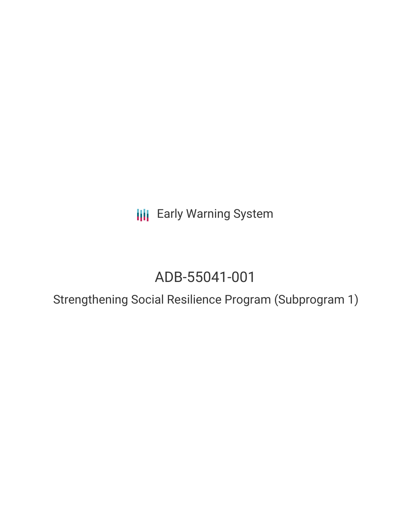**III** Early Warning System

# ADB-55041-001

Strengthening Social Resilience Program (Subprogram 1)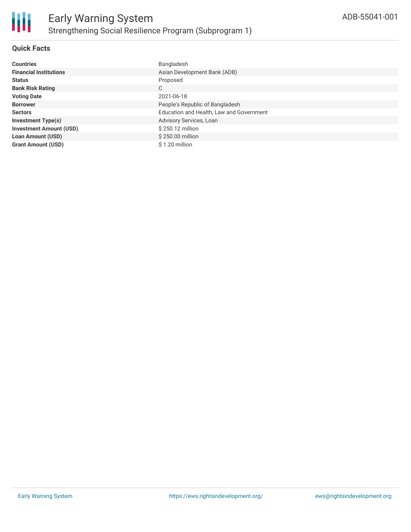## **Quick Facts**

| <b>Countries</b>               | Bangladesh                               |
|--------------------------------|------------------------------------------|
| <b>Financial Institutions</b>  | Asian Development Bank (ADB)             |
| <b>Status</b>                  | Proposed                                 |
| <b>Bank Risk Rating</b>        | С                                        |
| <b>Voting Date</b>             | 2021-06-18                               |
| <b>Borrower</b>                | People's Republic of Bangladesh          |
| <b>Sectors</b>                 | Education and Health, Law and Government |
| <b>Investment Type(s)</b>      | Advisory Services, Loan                  |
| <b>Investment Amount (USD)</b> | \$250.12 million                         |
| <b>Loan Amount (USD)</b>       | \$250.00 million                         |
| <b>Grant Amount (USD)</b>      | \$1.20 million                           |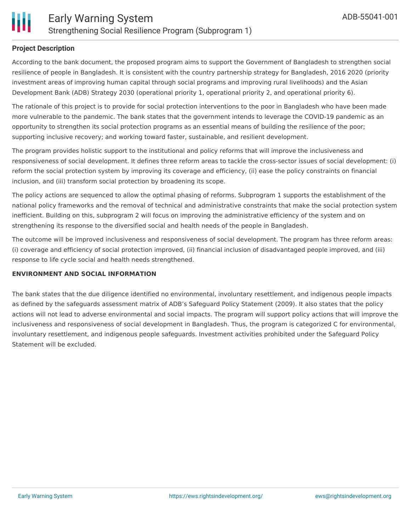# **Project Description**

According to the bank document, the proposed program aims to support the Government of Bangladesh to strengthen social resilience of people in Bangladesh. It is consistent with the country partnership strategy for Bangladesh, 2016 2020 (priority investment areas of improving human capital through social programs and improving rural livelihoods) and the Asian Development Bank (ADB) Strategy 2030 (operational priority 1, operational priority 2, and operational priority 6).

The rationale of this project is to provide for social protection interventions to the poor in Bangladesh who have been made more vulnerable to the pandemic. The bank states that the government intends to leverage the COVID-19 pandemic as an opportunity to strengthen its social protection programs as an essential means of building the resilience of the poor; supporting inclusive recovery; and working toward faster, sustainable, and resilient development.

The program provides holistic support to the institutional and policy reforms that will improve the inclusiveness and responsiveness of social development. It defines three reform areas to tackle the cross-sector issues of social development: (i) reform the social protection system by improving its coverage and efficiency, (ii) ease the policy constraints on financial inclusion, and (iii) transform social protection by broadening its scope.

The policy actions are sequenced to allow the optimal phasing of reforms. Subprogram 1 supports the establishment of the national policy frameworks and the removal of technical and administrative constraints that make the social protection system inefficient. Building on this, subprogram 2 will focus on improving the administrative efficiency of the system and on strengthening its response to the diversified social and health needs of the people in Bangladesh.

The outcome will be improved inclusiveness and responsiveness of social development. The program has three reform areas: (i) coverage and efficiency of social protection improved, (ii) financial inclusion of disadvantaged people improved, and (iii) response to life cycle social and health needs strengthened.

#### **ENVIRONMENT AND SOCIAL INFORMATION**

The bank states that the due diligence identified no environmental, involuntary resettlement, and indigenous people impacts as defined by the safeguards assessment matrix of ADB's Safeguard Policy Statement (2009). It also states that the policy actions will not lead to adverse environmental and social impacts. The program will support policy actions that will improve the inclusiveness and responsiveness of social development in Bangladesh. Thus, the program is categorized C for environmental, involuntary resettlement, and indigenous people safeguards. Investment activities prohibited under the Safeguard Policy Statement will be excluded.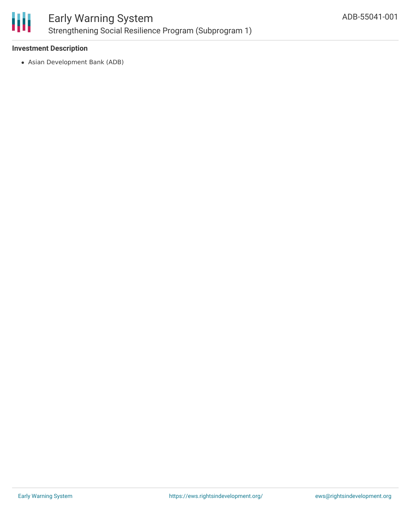

## **Investment Description**

Asian Development Bank (ADB)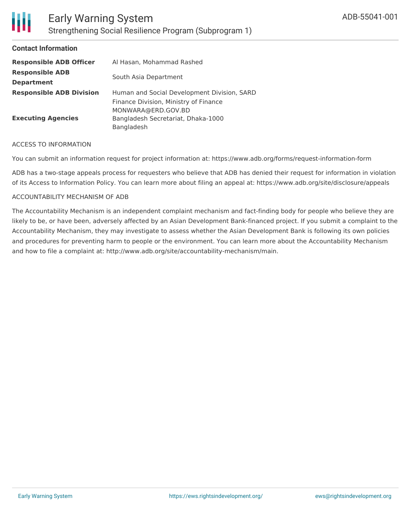| <b>Responsible ADB Officer</b>  | Al Hasan, Mohammad Rashed                   |
|---------------------------------|---------------------------------------------|
| <b>Responsible ADB</b>          | South Asia Department                       |
| <b>Department</b>               |                                             |
| <b>Responsible ADB Division</b> | Human and Social Development Division, SARD |
|                                 | Finance Division, Ministry of Finance       |
|                                 | MONWARA@ERD.GOV.BD                          |
| <b>Executing Agencies</b>       | Bangladesh Secretariat, Dhaka-1000          |
|                                 | Bangladesh                                  |

#### ACCESS TO INFORMATION

You can submit an information request for project information at: https://www.adb.org/forms/request-information-form

ADB has a two-stage appeals process for requesters who believe that ADB has denied their request for information in violation of its Access to Information Policy. You can learn more about filing an appeal at: https://www.adb.org/site/disclosure/appeals

#### ACCOUNTABILITY MECHANISM OF ADB

The Accountability Mechanism is an independent complaint mechanism and fact-finding body for people who believe they are likely to be, or have been, adversely affected by an Asian Development Bank-financed project. If you submit a complaint to the Accountability Mechanism, they may investigate to assess whether the Asian Development Bank is following its own policies and procedures for preventing harm to people or the environment. You can learn more about the Accountability Mechanism and how to file a complaint at: http://www.adb.org/site/accountability-mechanism/main.